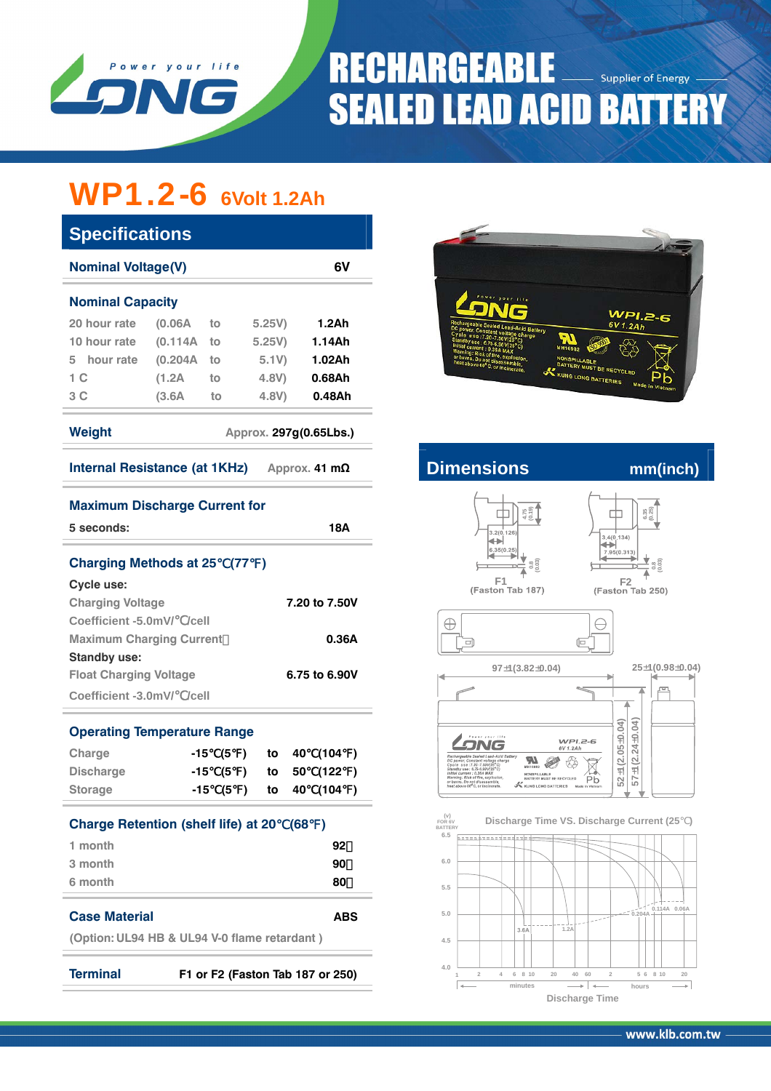

# **RECHARGEABLE** Supplier of Energy **SEALED LEAD ACID BATTERY**

### WP1.2-6 **6Volt 1.2Ah**

| <b>Specifications</b>                                                 |         |     |                 |               |      |                    |   |  |  |  |
|-----------------------------------------------------------------------|---------|-----|-----------------|---------------|------|--------------------|---|--|--|--|
| 6V<br><b>Nominal Voltage(V)</b>                                       |         |     |                 |               |      |                    |   |  |  |  |
| <b>Nominal Capacity</b>                                               |         |     |                 |               |      |                    |   |  |  |  |
| 20 hour rate                                                          | (0.06A) | to  | 5.25V)          |               |      | 1.2Ah              |   |  |  |  |
| 10 hour rate                                                          | (0.114A | to  |                 | 5.25V)        |      | 1.14Ah             |   |  |  |  |
| 5 hour rate                                                           | (0.204A | to  |                 | 5.1V          |      | 1.02Ah             |   |  |  |  |
| 1 <sup>C</sup>                                                        | (1.2A)  | to  | 4.8V)           |               |      | 0.68Ah             |   |  |  |  |
| 3C                                                                    | (3.6A)  | to  | 4.8V)           |               |      | 0.48A <sub>h</sub> |   |  |  |  |
| Weight<br>Approx. 297g(0.65Lbs.)                                      |         |     |                 |               |      |                    |   |  |  |  |
| Internal Resistance (at 1KHz)<br>Approx. 41 $m\Omega$                 |         |     |                 |               |      |                    |   |  |  |  |
| <b>Maximum Discharge Current for</b>                                  |         |     |                 |               |      |                    |   |  |  |  |
| 5 seconds:                                                            |         |     |                 |               |      | 18A                |   |  |  |  |
| <b>Charging Methods at 25</b>                                         |         |     | (77)            | $\rightarrow$ |      |                    |   |  |  |  |
| Cycle use:                                                            |         |     |                 |               |      |                    |   |  |  |  |
| <b>Charging Voltage</b><br>7.20 to 7.50V                              |         |     |                 |               |      |                    |   |  |  |  |
| Coefficient -5.0mV/ /cell                                             |         |     |                 |               |      |                    |   |  |  |  |
| <b>Maximum Charging Current</b><br>0.36A                              |         |     |                 |               |      |                    |   |  |  |  |
| <b>Standby use:</b><br>6.75 to 6.90V<br><b>Float Charging Voltage</b> |         |     |                 |               |      |                    |   |  |  |  |
| Coefficient -3.0mV/ /cell                                             |         |     |                 |               |      |                    |   |  |  |  |
|                                                                       |         |     |                 |               |      |                    |   |  |  |  |
| <b>Operating Temperature Range</b>                                    |         |     |                 |               |      |                    |   |  |  |  |
| Charge                                                                | -15     |     | (5)             | to            | 40 - | (104)              |   |  |  |  |
| <b>Discharge</b>                                                      |         | -15 | (5)             | to            | 50   | (122)              |   |  |  |  |
| <b>Storage</b>                                                        | -15     |     | (5<br>$\lambda$ | to            | 40   | (104               | ) |  |  |  |
| <b>Charge Retention (shelf life) at 20</b><br>(68)<br>$\lambda$       |         |     |                 |               |      |                    |   |  |  |  |
| 1 month<br>92                                                         |         |     |                 |               |      |                    |   |  |  |  |
| 3 month                                                               |         |     |                 |               |      | 90                 |   |  |  |  |
| 6 month                                                               |         |     |                 |               |      | 80                 |   |  |  |  |
| <b>Case Material</b>                                                  |         |     |                 |               |      | ABS                |   |  |  |  |
|                                                                       |         |     |                 |               |      |                    |   |  |  |  |



### **Internal Resistance (AD** mm(inch)

 $\oplus$ 

 $\overline{\blacksquare}$ 







 $\ominus$ 

 $\sqrt{\Box}$ 

 $97 \pm 1(3.82 \pm 0.04)$   $25 \pm 1(0.98 \pm 0.04)$  $\sim$ pm.  $57 \pm 1(2.24 \pm 0.04)$  $52 + 1(2.05 + 0.04)$  $57 \pm 1(2.24 \pm 0.04)$ **52 1(2.05 0 0. 4)** ± ±  $WPI.2-6$ <br>6V 1.2Ah LONG  $\overline{\overline{\mathcal{R}}}$ **RA**  $\begin{array}{ll} \texttt{NONSPILLABLE} \\ \texttt{BATTER } \texttt{MUST BE RECYCLED} \\ \textbf{K} \texttt{KUNG LONG BATTERIES} & \texttt{Mad} \end{array}$ Pb



**(Option: UL94 HB & UL94 V-0 flame retardant )**